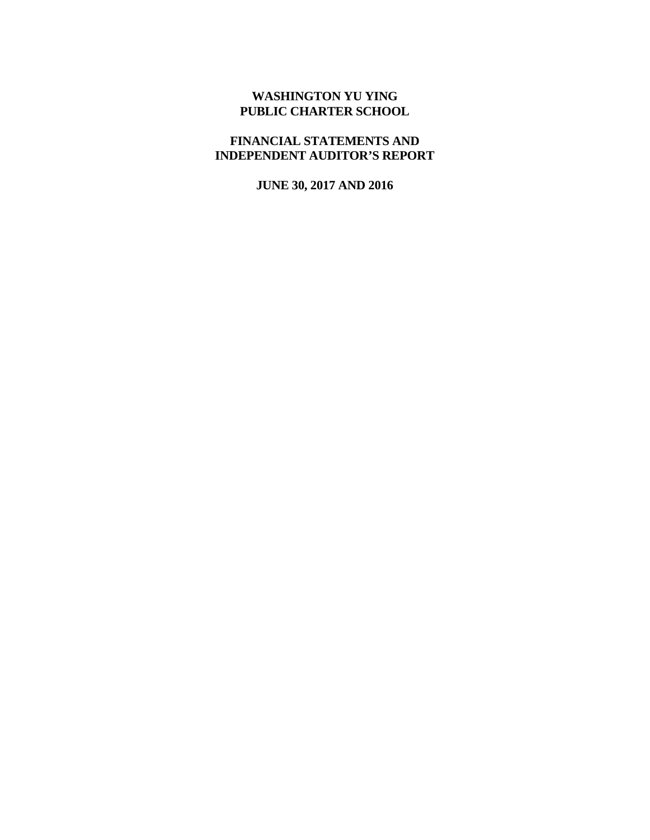# **WASHINGTON YU YING PUBLIC CHARTER SCHOOL**

# **FINANCIAL STATEMENTS AND INDEPENDENT AUDITOR'S REPORT**

**JUNE 30, 2017 AND 2016**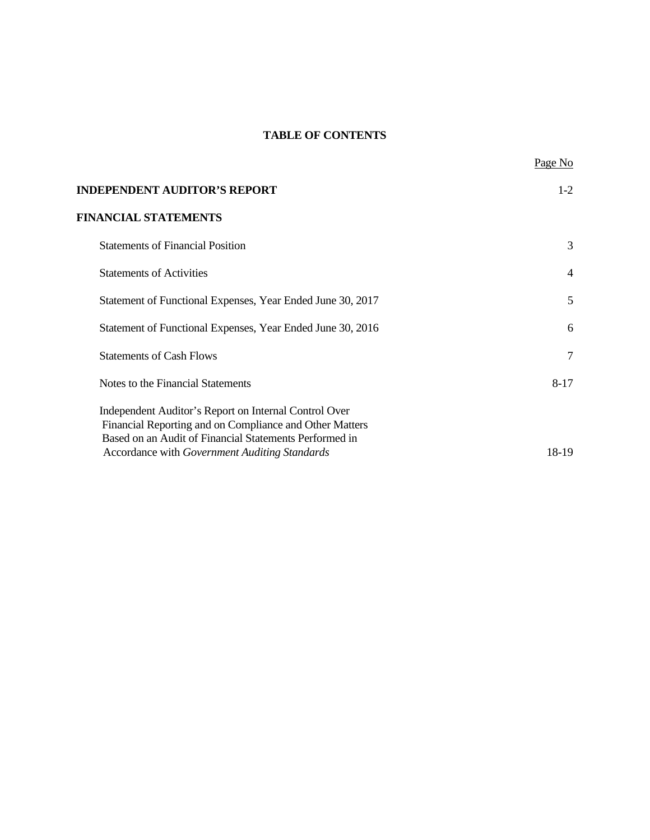# **TABLE OF CONTENTS**

|                                                                                                                                                                            | Page No  |
|----------------------------------------------------------------------------------------------------------------------------------------------------------------------------|----------|
| <b>INDEPENDENT AUDITOR'S REPORT</b>                                                                                                                                        | $1-2$    |
| <b>FINANCIAL STATEMENTS</b>                                                                                                                                                |          |
| <b>Statements of Financial Position</b>                                                                                                                                    | 3        |
| <b>Statements of Activities</b>                                                                                                                                            | 4        |
| Statement of Functional Expenses, Year Ended June 30, 2017                                                                                                                 | 5        |
| Statement of Functional Expenses, Year Ended June 30, 2016                                                                                                                 | 6        |
| <b>Statements of Cash Flows</b>                                                                                                                                            | 7        |
| Notes to the Financial Statements                                                                                                                                          | $8 - 17$ |
| Independent Auditor's Report on Internal Control Over<br>Financial Reporting and on Compliance and Other Matters<br>Based on an Audit of Financial Statements Performed in |          |
| Accordance with Government Auditing Standards                                                                                                                              | 18-19    |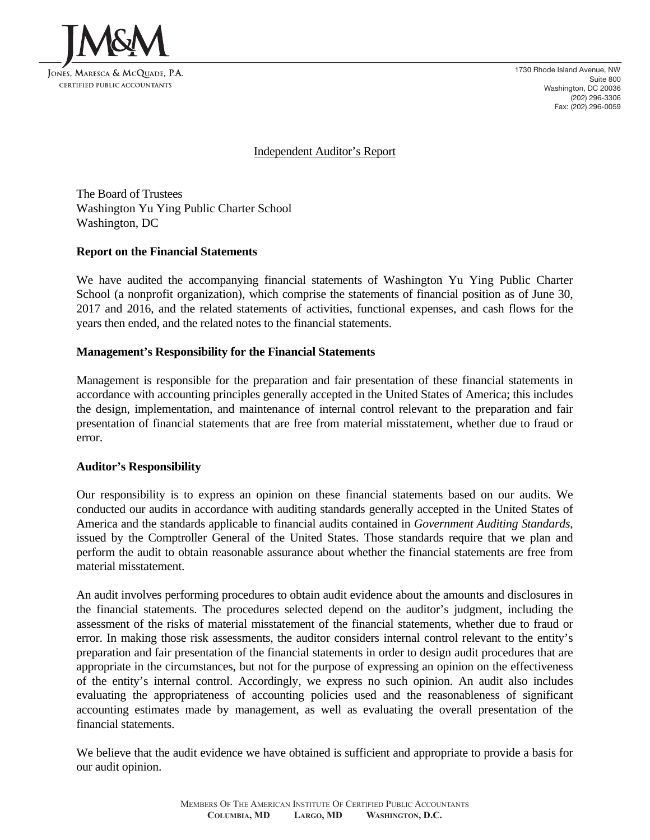

1730 Rhode Island Avenue, NW Suite 800 Washington, DC 20036 (202) 296-3306 Fax: (202) 296-0059

Independent Auditor's Report

The Board of Trustees Washington Yu Ying Public Charter School Washington, DC

## **Report on the Financial Statements**

We have audited the accompanying financial statements of Washington Yu Ying Public Charter School (a nonprofit organization), which comprise the statements of financial position as of June 30, 2017 and 2016, and the related statements of activities, functional expenses, and cash flows for the years then ended, and the related notes to the financial statements.

## **Management's Responsibility for the Financial Statements**

Management is responsible for the preparation and fair presentation of these financial statements in accordance with accounting principles generally accepted in the United States of America; this includes the design, implementation, and maintenance of internal control relevant to the preparation and fair presentation of financial statements that are free from material misstatement, whether due to fraud or error.

## **Auditor's Responsibility**

Our responsibility is to express an opinion on these financial statements based on our audits. We conducted our audits in accordance with auditing standards generally accepted in the United States of America and the standards applicable to financial audits contained in *Government Auditing Standards,* issued by the Comptroller General of the United States. Those standards require that we plan and perform the audit to obtain reasonable assurance about whether the financial statements are free from material misstatement.

An audit involves performing procedures to obtain audit evidence about the amounts and disclosures in the financial statements. The procedures selected depend on the auditor's judgment, including the assessment of the risks of material misstatement of the financial statements, whether due to fraud or error. In making those risk assessments, the auditor considers internal control relevant to the entity's preparation and fair presentation of the financial statements in order to design audit procedures that are appropriate in the circumstances, but not for the purpose of expressing an opinion on the effectiveness of the entity's internal control. Accordingly, we express no such opinion. An audit also includes evaluating the appropriateness of accounting policies used and the reasonableness of significant accounting estimates made by management, as well as evaluating the overall presentation of the financial statements.

We believe that the audit evidence we have obtained is sufficient and appropriate to provide a basis for our audit opinion.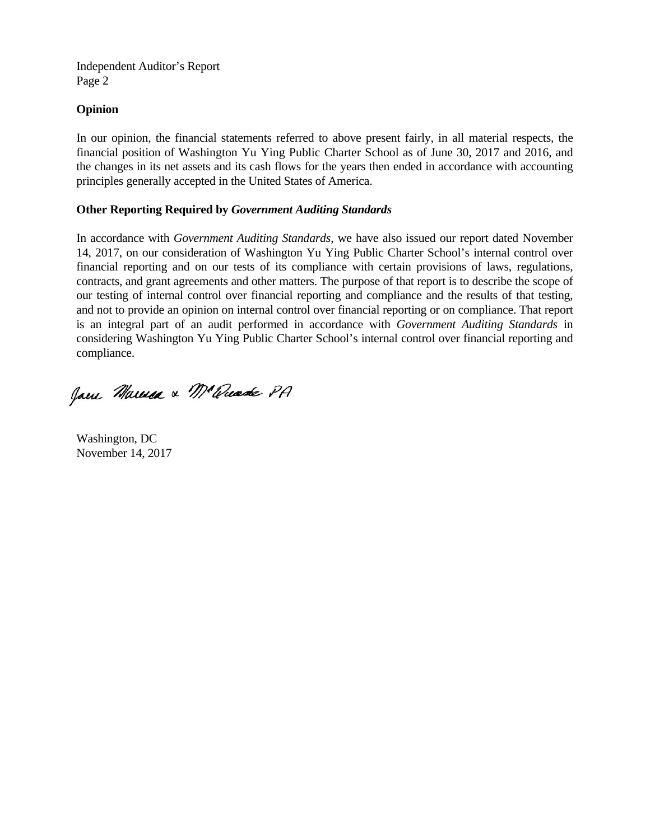Independent Auditor's Report Page 2

# **Opinion**

In our opinion, the financial statements referred to above present fairly, in all material respects, the financial position of Washington Yu Ying Public Charter School as of June 30, 2017 and 2016, and the changes in its net assets and its cash flows for the years then ended in accordance with accounting principles generally accepted in the United States of America.

## **Other Reporting Required by** *Government Auditing Standards*

In accordance with *Government Auditing Standards*, we have also issued our report dated November 14, 2017, on our consideration of Washington Yu Ying Public Charter School's internal control over financial reporting and on our tests of its compliance with certain provisions of laws, regulations, contracts, and grant agreements and other matters. The purpose of that report is to describe the scope of our testing of internal control over financial reporting and compliance and the results of that testing, and not to provide an opinion on internal control over financial reporting or on compliance. That report is an integral part of an audit performed in accordance with *Government Auditing Standards* in considering Washington Yu Ying Public Charter School's internal control over financial reporting and compliance.

Jam Marma & Ma Quade PA

Washington, DC November 14, 2017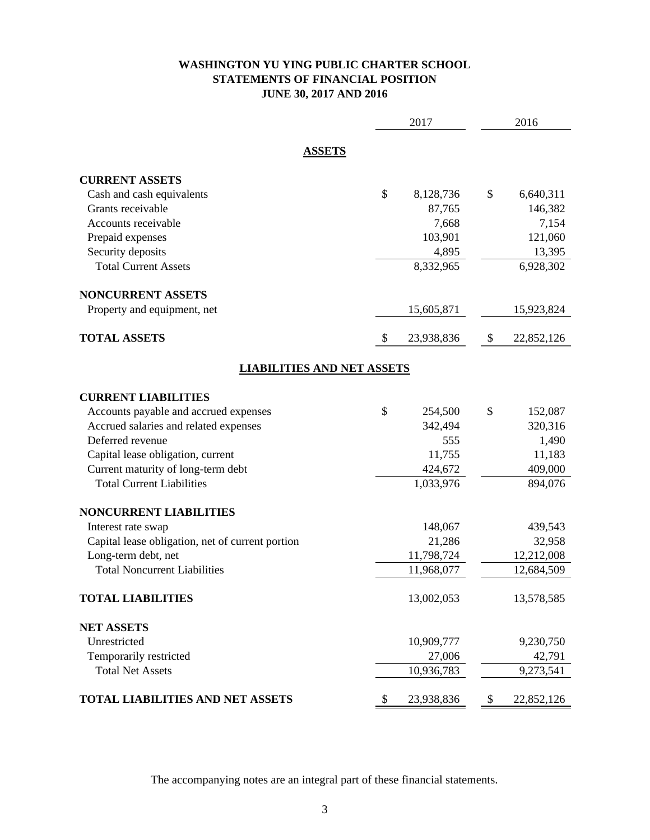# **WASHINGTON YU YING PUBLIC CHARTER SCHOOL STATEMENTS OF FINANCIAL POSITION JUNE 30, 2017 AND 2016**

|                                                  | 2017             |    | 2016                   |
|--------------------------------------------------|------------------|----|------------------------|
| <b>ASSETS</b>                                    |                  |    |                        |
| <b>CURRENT ASSETS</b>                            |                  |    |                        |
| Cash and cash equivalents                        | \$<br>8,128,736  | \$ | 6,640,311              |
| Grants receivable                                | 87,765           |    | 146,382                |
| Accounts receivable                              | 7,668            |    | 7,154                  |
| Prepaid expenses                                 | 103,901          |    | 121,060                |
| Security deposits                                | 4,895            |    | 13,395                 |
| <b>Total Current Assets</b>                      | 8,332,965        |    | $\overline{6,928,302}$ |
| <b>NONCURRENT ASSETS</b>                         |                  |    |                        |
| Property and equipment, net                      | 15,605,871       |    | 15,923,824             |
| <b>TOTAL ASSETS</b>                              | 23,938,836       | \$ | 22,852,126             |
| <b>LIABILITIES AND NET ASSETS</b>                |                  |    |                        |
| <b>CURRENT LIABILITIES</b>                       |                  |    |                        |
| Accounts payable and accrued expenses            | \$<br>254,500    | \$ | 152,087                |
| Accrued salaries and related expenses            | 342,494          |    | 320,316                |
| Deferred revenue                                 | 555              |    | 1,490                  |
| Capital lease obligation, current                | 11,755           |    | 11,183                 |
| Current maturity of long-term debt               | 424,672          |    | 409,000                |
| <b>Total Current Liabilities</b>                 | 1,033,976        |    | 894,076                |
| <b>NONCURRENT LIABILITIES</b>                    |                  |    |                        |
| Interest rate swap                               | 148,067          |    | 439,543                |
| Capital lease obligation, net of current portion | 21,286           |    | 32,958                 |
| Long-term debt, net                              | 11,798,724       |    | 12,212,008             |
| <b>Total Noncurrent Liabilities</b>              | 11,968,077       |    | 12,684,509             |
| <b>TOTAL LIABILITIES</b>                         | 13,002,053       |    | 13,578,585             |
| <b>NET ASSETS</b>                                |                  |    |                        |
| Unrestricted                                     | 10,909,777       |    | 9,230,750              |
| Temporarily restricted                           | 27,006           |    | 42,791                 |
| <b>Total Net Assets</b>                          | 10,936,783       |    | 9,273,541              |
| <b>TOTAL LIABILITIES AND NET ASSETS</b>          | \$<br>23,938,836 | \$ | 22,852,126             |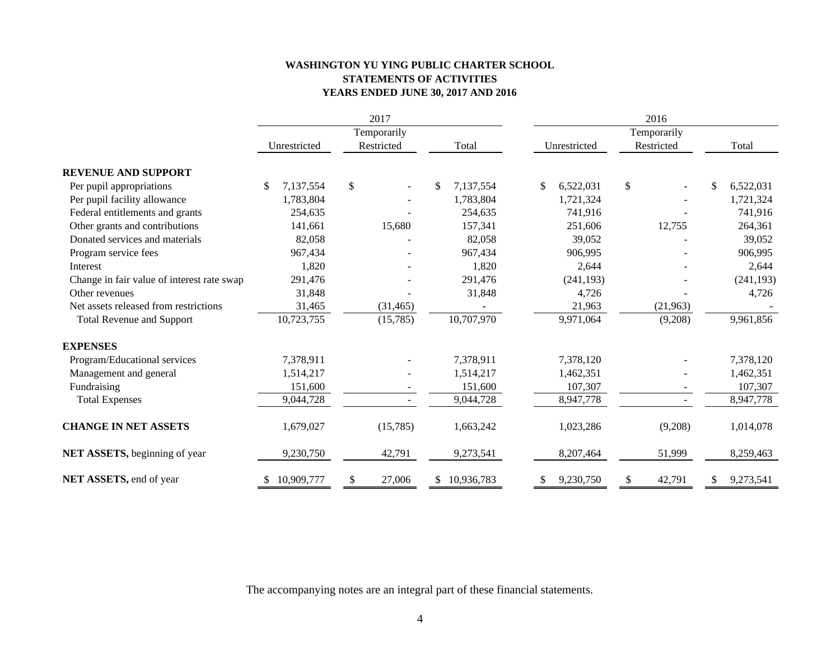### **WASHINGTON YU YING PUBLIC CHARTER SCHOOL STATEMENTS OF ACTIVITIES YEARS ENDED JUNE 30, 2017 AND 2016**

|                                            | 2017             |              |                 | 2016            |              |                 |  |
|--------------------------------------------|------------------|--------------|-----------------|-----------------|--------------|-----------------|--|
|                                            |                  | Temporarily  |                 |                 | Temporarily  |                 |  |
|                                            | Unrestricted     | Restricted   | Total           | Unrestricted    | Restricted   | Total           |  |
| <b>REVENUE AND SUPPORT</b>                 |                  |              |                 |                 |              |                 |  |
| Per pupil appropriations                   | 7,137,554<br>\$  | \$           | 7,137,554<br>\$ | \$<br>6,522,031 | \$           | 6,522,031<br>\$ |  |
| Per pupil facility allowance               | 1,783,804        |              | 1,783,804       | 1,721,324       |              | 1,721,324       |  |
| Federal entitlements and grants            | 254,635          |              | 254,635         | 741,916         |              | 741,916         |  |
| Other grants and contributions             | 141,661          | 15,680       | 157,341         | 251,606         | 12,755       | 264,361         |  |
| Donated services and materials             | 82,058           |              | 82,058          | 39,052          |              | 39,052          |  |
| Program service fees                       | 967,434          |              | 967,434         | 906,995         |              | 906,995         |  |
| Interest                                   | 1,820            |              | 1,820           | 2,644           |              | 2,644           |  |
| Change in fair value of interest rate swap | 291,476          |              | 291,476         | (241, 193)      |              | (241, 193)      |  |
| Other revenues                             | 31,848           |              | 31,848          | 4,726           |              | 4,726           |  |
| Net assets released from restrictions      | 31,465           | (31, 465)    |                 | 21,963          | (21,963)     |                 |  |
| <b>Total Revenue and Support</b>           | 10,723,755       | (15,785)     | 10,707,970      | 9,971,064       | (9,208)      | 9,961,856       |  |
| <b>EXPENSES</b>                            |                  |              |                 |                 |              |                 |  |
| Program/Educational services               | 7,378,911        |              | 7,378,911       | 7,378,120       |              | 7,378,120       |  |
| Management and general                     | 1,514,217        |              | 1,514,217       | 1,462,351       |              | 1,462,351       |  |
| Fundraising                                | 151,600          |              | 151,600         | 107,307         |              | 107,307         |  |
| <b>Total Expenses</b>                      | 9,044,728        | $\sim$       | 9,044,728       | 8,947,778       |              | 8,947,778       |  |
| <b>CHANGE IN NET ASSETS</b>                | 1,679,027        | (15,785)     | 1,663,242       | 1,023,286       | (9,208)      | 1,014,078       |  |
| NET ASSETS, beginning of year              | 9,230,750        | 42,791       | 9,273,541       | 8,207,464       | 51,999       | 8,259,463       |  |
| NET ASSETS, end of year                    | 10,909,777<br>\$ | \$<br>27,006 | \$10,936,783    | 9,230,750<br>\$ | \$<br>42,791 | 9,273,541<br>\$ |  |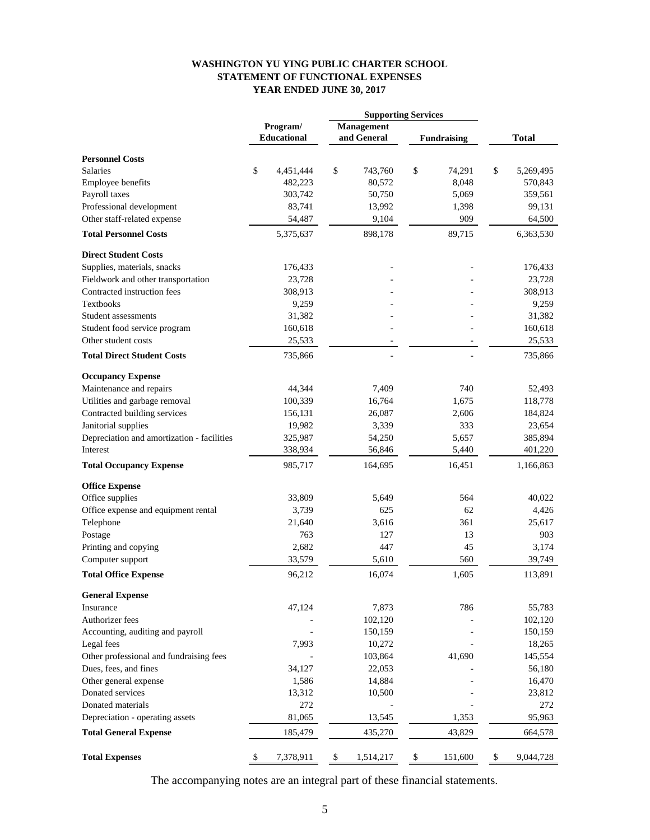#### **WASHINGTON YU YING PUBLIC CHARTER SCHOOL STATEMENT OF FUNCTIONAL EXPENSES YEAR ENDED JUNE 30, 2017**

|                                            | Program/<br>Educational | <b>Management</b><br>and General | <b>Fundraising</b> | <b>Total</b>    |
|--------------------------------------------|-------------------------|----------------------------------|--------------------|-----------------|
| <b>Personnel Costs</b>                     |                         |                                  |                    |                 |
| Salaries                                   | \$<br>4,451,444         | \$<br>743,760                    | \$<br>74,291       | \$<br>5,269,495 |
| Employee benefits                          | 482,223                 | 80,572                           | 8,048              | 570,843         |
| Payroll taxes                              | 303,742                 | 50,750                           | 5,069              | 359,561         |
| Professional development                   | 83,741                  | 13,992                           | 1,398              | 99,131          |
| Other staff-related expense                | 54,487                  | 9,104                            | 909                | 64,500          |
| <b>Total Personnel Costs</b>               | 5,375,637               | 898,178                          | 89,715             | 6,363,530       |
| <b>Direct Student Costs</b>                |                         |                                  |                    |                 |
| Supplies, materials, snacks                | 176,433                 |                                  |                    | 176,433         |
| Fieldwork and other transportation         | 23,728                  |                                  |                    | 23,728          |
| Contracted instruction fees                | 308,913                 |                                  |                    | 308,913         |
| <b>Textbooks</b>                           | 9,259                   |                                  |                    | 9,259           |
| Student assessments                        | 31,382                  |                                  |                    | 31,382          |
| Student food service program               | 160,618                 |                                  |                    | 160,618         |
| Other student costs                        | 25,533                  |                                  |                    | 25,533          |
| <b>Total Direct Student Costs</b>          | 735,866                 |                                  |                    | 735,866         |
| <b>Occupancy Expense</b>                   |                         |                                  |                    |                 |
| Maintenance and repairs                    | 44,344                  | 7,409                            | 740                | 52,493          |
| Utilities and garbage removal              | 100,339                 | 16,764                           | 1,675              | 118,778         |
| Contracted building services               | 156,131                 | 26,087                           | 2,606              | 184,824         |
| Janitorial supplies                        | 19,982                  | 3,339                            | 333                | 23,654          |
| Depreciation and amortization - facilities | 325,987                 | 54,250                           | 5,657              | 385,894         |
| Interest                                   | 338,934                 | 56,846                           | 5,440              | 401,220         |
| <b>Total Occupancy Expense</b>             | 985,717                 | 164,695                          | 16,451             | 1,166,863       |
| <b>Office Expense</b>                      |                         |                                  |                    |                 |
| Office supplies                            | 33,809                  | 5,649                            | 564                | 40,022          |
| Office expense and equipment rental        | 3,739                   | 625                              | 62                 | 4,426           |
| Telephone                                  | 21,640                  | 3,616                            | 361                | 25,617          |
| Postage                                    | 763                     | 127                              | 13                 | 903             |
| Printing and copying                       | 2,682                   | 447                              | 45                 | 3,174           |
| Computer support                           | 33,579                  | 5,610                            | 560                | 39,749          |
| <b>Total Office Expense</b>                | 96,212                  | 16,074                           | 1,605              | 113,891         |
| <b>General Expense</b>                     |                         |                                  |                    |                 |
| Insurance                                  | 47,124                  | 7,873                            | 786                | 55,783          |
| Authorizer fees                            |                         | 102,120                          |                    | 102,120         |
| Accounting, auditing and payroll           |                         | 150,159                          |                    | 150,159         |
| Legal fees                                 | 7,993                   | 10,272                           |                    | 18,265          |
| Other professional and fundraising fees    |                         | 103,864                          | 41,690             | 145,554         |
| Dues, fees, and fines                      | 34,127                  | 22,053                           |                    | 56,180          |
| Other general expense                      | 1,586                   | 14,884                           |                    | 16,470          |
| Donated services                           | 13,312                  | 10,500                           |                    | 23,812          |
| Donated materials                          | 272                     |                                  |                    | 272             |
| Depreciation - operating assets            | 81,065                  | 13,545                           | 1,353              | 95,963          |
| <b>Total General Expense</b>               | 185,479                 | 435,270                          | 43,829             | 664,578         |
| <b>Total Expenses</b>                      | \$<br>7,378,911         | \$<br>1,514,217                  | \$<br>151,600      | \$<br>9,044,728 |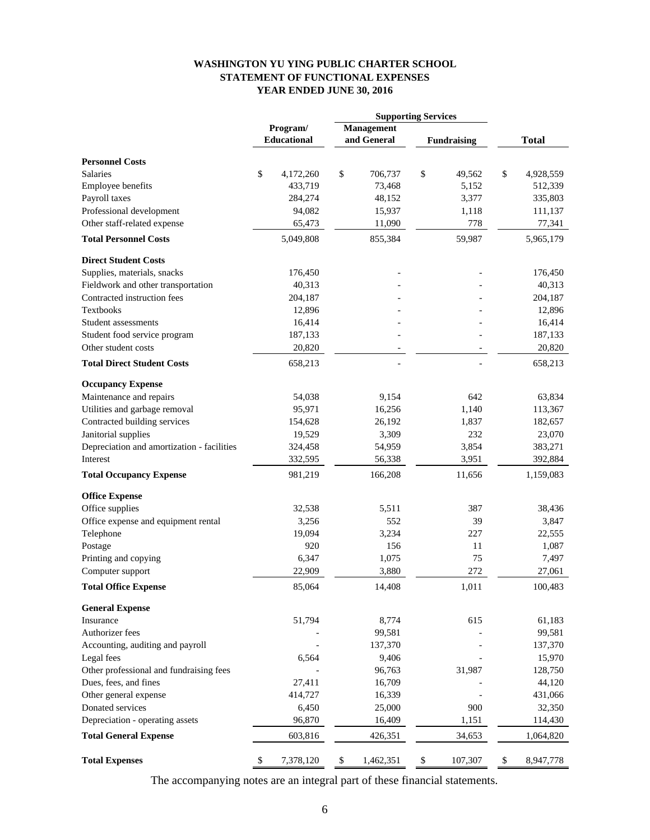### **WASHINGTON YU YING PUBLIC CHARTER SCHOOL STATEMENT OF FUNCTIONAL EXPENSES YEAR ENDED JUNE 30, 2016**

|                                                         |                    | <b>Supporting Services</b> |                    |                   |
|---------------------------------------------------------|--------------------|----------------------------|--------------------|-------------------|
|                                                         | Program/           | <b>Management</b>          |                    |                   |
|                                                         | <b>Educational</b> | and General                | <b>Fundraising</b> | <b>Total</b>      |
| <b>Personnel Costs</b>                                  |                    |                            |                    |                   |
| <b>Salaries</b>                                         | \$<br>4,172,260    | \$<br>706,737              | \$<br>49,562       | \$<br>4,928,559   |
| Employee benefits                                       | 433,719            | 73,468                     | 5,152              | 512,339           |
| Payroll taxes                                           | 284,274            | 48,152                     | 3,377              | 335,803           |
|                                                         |                    |                            |                    |                   |
| Professional development<br>Other staff-related expense | 94,082<br>65,473   | 15,937<br>11,090           | 1,118<br>778       | 111,137<br>77,341 |
| <b>Total Personnel Costs</b>                            | 5,049,808          | 855,384                    | 59,987             | 5,965,179         |
| <b>Direct Student Costs</b>                             |                    |                            |                    |                   |
| Supplies, materials, snacks                             | 176,450            |                            |                    | 176,450           |
| Fieldwork and other transportation                      | 40,313             |                            |                    | 40,313            |
| Contracted instruction fees                             | 204,187            |                            |                    | 204,187           |
| <b>Textbooks</b>                                        | 12,896             |                            |                    | 12,896            |
| Student assessments                                     | 16,414             |                            |                    | 16,414            |
| Student food service program                            | 187,133            |                            |                    | 187,133           |
| Other student costs                                     | 20,820             |                            |                    | 20,820            |
| <b>Total Direct Student Costs</b>                       | 658,213            |                            |                    | 658,213           |
| <b>Occupancy Expense</b>                                |                    |                            |                    |                   |
| Maintenance and repairs                                 | 54,038             | 9,154                      | 642                | 63,834            |
| Utilities and garbage removal                           | 95,971             | 16,256                     | 1,140              | 113,367           |
| Contracted building services                            | 154,628            | 26,192                     | 1,837              | 182,657           |
| Janitorial supplies                                     | 19,529             | 3,309                      | 232                | 23,070            |
| Depreciation and amortization - facilities              | 324,458            | 54,959                     | 3,854              | 383,271           |
| Interest                                                | 332,595            | 56,338                     | 3,951              | 392,884           |
| <b>Total Occupancy Expense</b>                          | 981,219            | 166,208                    | 11,656             | 1,159,083         |
| <b>Office Expense</b>                                   |                    |                            |                    |                   |
| Office supplies                                         | 32,538             | 5,511                      | 387                | 38,436            |
| Office expense and equipment rental                     | 3,256              | 552                        | 39                 | 3,847             |
| Telephone                                               | 19,094             | 3,234                      | 227                | 22,555            |
| Postage                                                 | 920                | 156                        | 11                 | 1,087             |
| Printing and copying                                    | 6,347              | 1,075                      | 75                 | 7,497             |
| Computer support                                        | 22,909             | 3,880                      | 272                | 27,061            |
| <b>Total Office Expense</b>                             | 85,064             | 14,408                     | 1,011              | 100,483           |
| <b>General Expense</b>                                  |                    |                            |                    |                   |
| Insurance                                               | 51,794             | 8,774                      | 615                | 61,183            |
| Authorizer fees                                         |                    | 99,581                     |                    | 99,581            |
| Accounting, auditing and payroll                        |                    | 137,370                    |                    | 137,370           |
| Legal fees                                              | 6,564              | 9,406                      |                    | 15,970            |
| Other professional and fundraising fees                 |                    | 96,763                     | 31,987             | 128,750           |
| Dues, fees, and fines                                   | 27,411             | 16,709                     |                    | 44,120            |
| Other general expense                                   | 414,727            | 16,339                     |                    | 431,066           |
| Donated services                                        | 6,450              | 25,000                     | 900                | 32,350            |
| Depreciation - operating assets                         | 96,870             | 16,409                     | 1,151              | 114,430           |
| <b>Total General Expense</b>                            | 603,816            | 426,351                    | 34,653             | 1,064,820         |
|                                                         |                    |                            |                    |                   |
| <b>Total Expenses</b>                                   | \$<br>7,378,120    | \$<br>1,462,351            | $\$$<br>107,307    | \$<br>8,947,778   |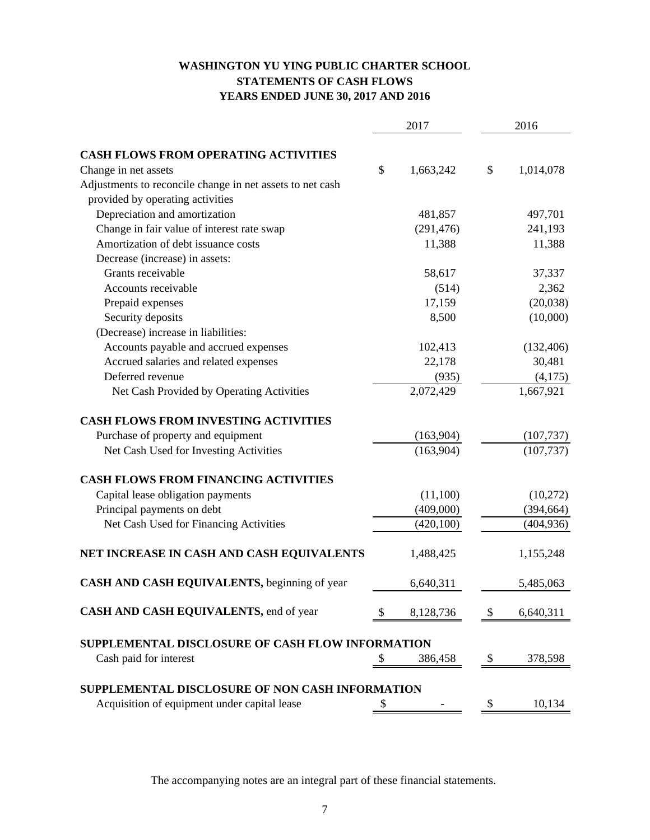# **WASHINGTON YU YING PUBLIC CHARTER SCHOOL STATEMENTS OF CASH FLOWS YEARS ENDED JUNE 30, 2017 AND 2016**

|                                                           | 2017 |            | 2016 |            |
|-----------------------------------------------------------|------|------------|------|------------|
| <b>CASH FLOWS FROM OPERATING ACTIVITIES</b>               |      |            |      |            |
| Change in net assets                                      | \$   | 1,663,242  | \$   | 1,014,078  |
| Adjustments to reconcile change in net assets to net cash |      |            |      |            |
| provided by operating activities                          |      |            |      |            |
| Depreciation and amortization                             |      | 481,857    |      | 497,701    |
| Change in fair value of interest rate swap                |      | (291, 476) |      | 241,193    |
| Amortization of debt issuance costs                       |      | 11,388     |      | 11,388     |
| Decrease (increase) in assets:                            |      |            |      |            |
| Grants receivable                                         |      | 58,617     |      | 37,337     |
| Accounts receivable                                       |      | (514)      |      | 2,362      |
| Prepaid expenses                                          |      | 17,159     |      | (20,038)   |
| Security deposits                                         |      | 8,500      |      | (10,000)   |
| (Decrease) increase in liabilities:                       |      |            |      |            |
| Accounts payable and accrued expenses                     |      | 102,413    |      |            |
|                                                           |      | 22,178     |      | (132, 406) |
| Accrued salaries and related expenses<br>Deferred revenue |      |            |      | 30,481     |
|                                                           |      | (935)      |      | (4,175)    |
| Net Cash Provided by Operating Activities                 |      | 2,072,429  |      | 1,667,921  |
| <b>CASH FLOWS FROM INVESTING ACTIVITIES</b>               |      |            |      |            |
| Purchase of property and equipment                        |      | (163,904)  |      | (107, 737) |
| Net Cash Used for Investing Activities                    |      | (163,904)  |      | (107, 737) |
| <b>CASH FLOWS FROM FINANCING ACTIVITIES</b>               |      |            |      |            |
| Capital lease obligation payments                         |      | (11,100)   |      | (10,272)   |
| Principal payments on debt                                |      | (409,000)  |      | (394, 664) |
| Net Cash Used for Financing Activities                    |      | (420, 100) |      | (404, 936) |
|                                                           |      |            |      |            |
| NET INCREASE IN CASH AND CASH EQUIVALENTS                 |      | 1,488,425  |      | 1,155,248  |
| CASH AND CASH EQUIVALENTS, beginning of year              |      | 6,640,311  |      | 5,485,063  |
|                                                           |      |            |      |            |
| CASH AND CASH EQUIVALENTS, end of year                    |      | 8,128,736  | \$   | 6,640,311  |
| SUPPLEMENTAL DISCLOSURE OF CASH FLOW INFORMATION          |      |            |      |            |
| Cash paid for interest                                    | \$   | 386,458    | - \$ | 378,598    |
|                                                           |      |            |      |            |
| SUPPLEMENTAL DISCLOSURE OF NON CASH INFORMATION           |      |            |      |            |
| Acquisition of equipment under capital lease              | \$   |            | \$   | 10,134     |
|                                                           |      |            |      |            |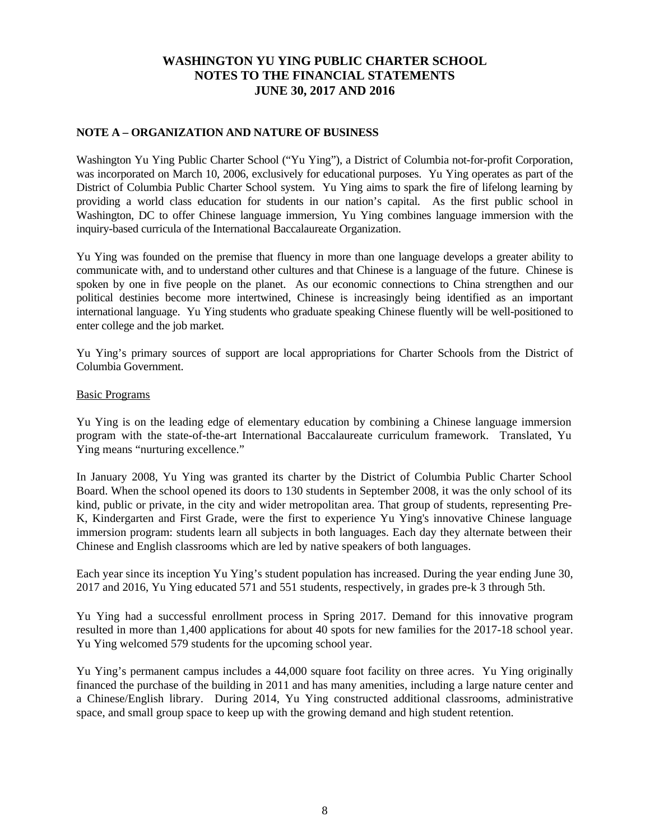## **NOTE A – ORGANIZATION AND NATURE OF BUSINESS**

Washington Yu Ying Public Charter School ("Yu Ying"), a District of Columbia not-for-profit Corporation, was incorporated on March 10, 2006, exclusively for educational purposes. Yu Ying operates as part of the District of Columbia Public Charter School system. Yu Ying aims to spark the fire of lifelong learning by providing a world class education for students in our nation's capital. As the first public school in Washington, DC to offer Chinese language immersion, Yu Ying combines language immersion with the inquiry-based curricula of the International Baccalaureate Organization.

Yu Ying was founded on the premise that fluency in more than one language develops a greater ability to communicate with, and to understand other cultures and that Chinese is a language of the future. Chinese is spoken by one in five people on the planet. As our economic connections to China strengthen and our political destinies become more intertwined, Chinese is increasingly being identified as an important international language. Yu Ying students who graduate speaking Chinese fluently will be well-positioned to enter college and the job market.

Yu Ying's primary sources of support are local appropriations for Charter Schools from the District of Columbia Government.

### Basic Programs

Yu Ying is on the leading edge of elementary education by combining a Chinese language immersion program with the state-of-the-art International Baccalaureate curriculum framework. Translated, Yu Ying means "nurturing excellence."

In January 2008, Yu Ying was granted its charter by the District of Columbia Public Charter School Board. When the school opened its doors to 130 students in September 2008, it was the only school of its kind, public or private, in the city and wider metropolitan area. That group of students, representing Pre-K, Kindergarten and First Grade, were the first to experience Yu Ying's innovative Chinese language immersion program: students learn all subjects in both languages. Each day they alternate between their Chinese and English classrooms which are led by native speakers of both languages.

Each year since its inception Yu Ying's student population has increased. During the year ending June 30, 2017 and 2016, Yu Ying educated 571 and 551 students, respectively, in grades pre-k 3 through 5th.

Yu Ying had a successful enrollment process in Spring 2017. Demand for this innovative program resulted in more than 1,400 applications for about 40 spots for new families for the 2017-18 school year. Yu Ying welcomed 579 students for the upcoming school year.

Yu Ying's permanent campus includes a 44,000 square foot facility on three acres. Yu Ying originally financed the purchase of the building in 2011 and has many amenities, including a large nature center and a Chinese/English library. During 2014, Yu Ying constructed additional classrooms, administrative space, and small group space to keep up with the growing demand and high student retention.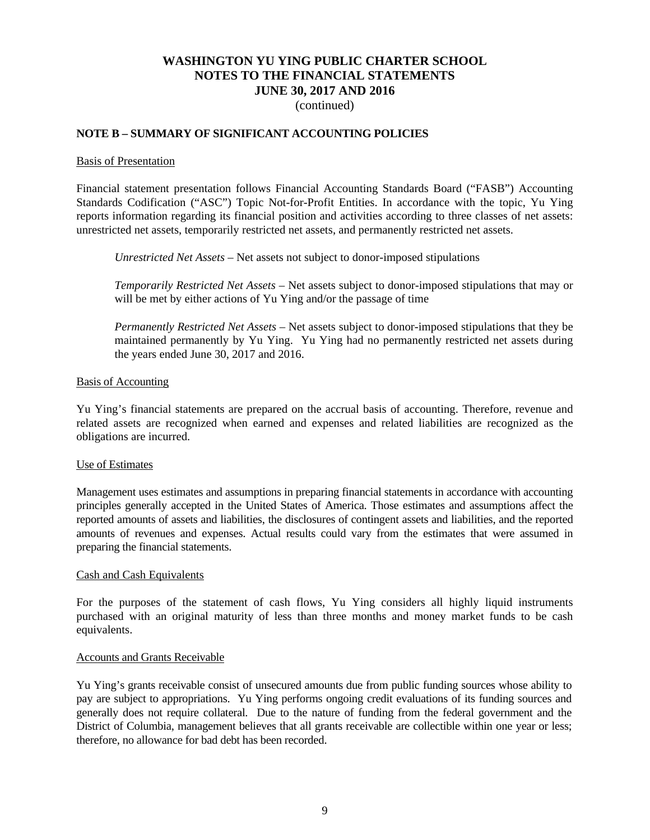(continued)

## **NOTE B – SUMMARY OF SIGNIFICANT ACCOUNTING POLICIES**

#### Basis of Presentation

Financial statement presentation follows Financial Accounting Standards Board ("FASB") Accounting Standards Codification ("ASC") Topic Not-for-Profit Entities. In accordance with the topic, Yu Ying reports information regarding its financial position and activities according to three classes of net assets: unrestricted net assets, temporarily restricted net assets, and permanently restricted net assets.

*Unrestricted Net Assets* – Net assets not subject to donor-imposed stipulations

*Temporarily Restricted Net Assets* – Net assets subject to donor-imposed stipulations that may or will be met by either actions of Yu Ying and/or the passage of time

*Permanently Restricted Net Assets* – Net assets subject to donor-imposed stipulations that they be maintained permanently by Yu Ying. Yu Ying had no permanently restricted net assets during the years ended June 30, 2017 and 2016.

### Basis of Accounting

Yu Ying's financial statements are prepared on the accrual basis of accounting. Therefore, revenue and related assets are recognized when earned and expenses and related liabilities are recognized as the obligations are incurred.

#### Use of Estimates

Management uses estimates and assumptions in preparing financial statements in accordance with accounting principles generally accepted in the United States of America. Those estimates and assumptions affect the reported amounts of assets and liabilities, the disclosures of contingent assets and liabilities, and the reported amounts of revenues and expenses. Actual results could vary from the estimates that were assumed in preparing the financial statements.

#### Cash and Cash Equivalents

For the purposes of the statement of cash flows, Yu Ying considers all highly liquid instruments purchased with an original maturity of less than three months and money market funds to be cash equivalents.

#### Accounts and Grants Receivable

Yu Ying's grants receivable consist of unsecured amounts due from public funding sources whose ability to pay are subject to appropriations. Yu Ying performs ongoing credit evaluations of its funding sources and generally does not require collateral. Due to the nature of funding from the federal government and the District of Columbia, management believes that all grants receivable are collectible within one year or less; therefore, no allowance for bad debt has been recorded.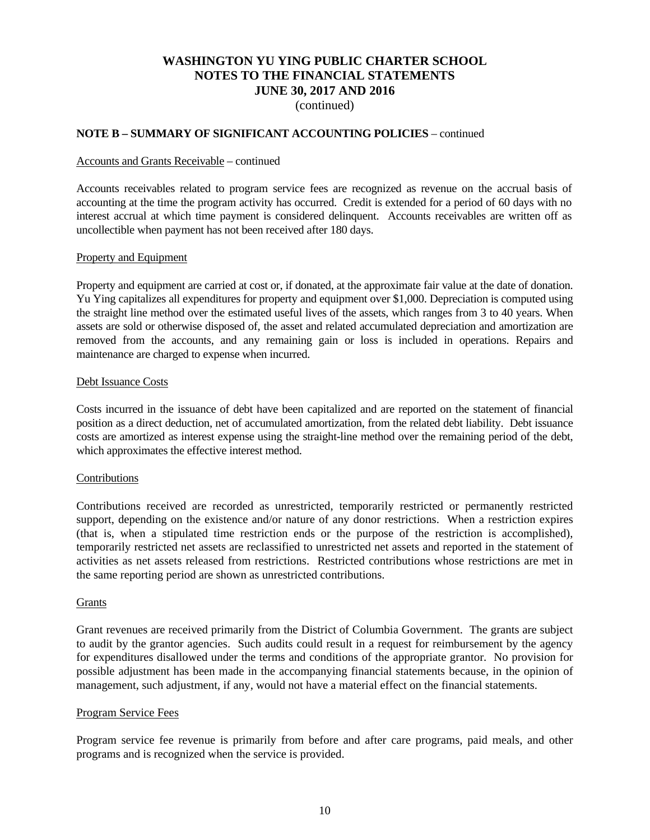(continued)

### **NOTE B – SUMMARY OF SIGNIFICANT ACCOUNTING POLICIES** – continued

#### Accounts and Grants Receivable – continued

Accounts receivables related to program service fees are recognized as revenue on the accrual basis of accounting at the time the program activity has occurred. Credit is extended for a period of 60 days with no interest accrual at which time payment is considered delinquent. Accounts receivables are written off as uncollectible when payment has not been received after 180 days.

#### Property and Equipment

Property and equipment are carried at cost or, if donated, at the approximate fair value at the date of donation. Yu Ying capitalizes all expenditures for property and equipment over \$1,000. Depreciation is computed using the straight line method over the estimated useful lives of the assets, which ranges from 3 to 40 years. When assets are sold or otherwise disposed of, the asset and related accumulated depreciation and amortization are removed from the accounts, and any remaining gain or loss is included in operations. Repairs and maintenance are charged to expense when incurred.

#### Debt Issuance Costs

Costs incurred in the issuance of debt have been capitalized and are reported on the statement of financial position as a direct deduction, net of accumulated amortization, from the related debt liability. Debt issuance costs are amortized as interest expense using the straight-line method over the remaining period of the debt, which approximates the effective interest method.

### Contributions

Contributions received are recorded as unrestricted, temporarily restricted or permanently restricted support, depending on the existence and/or nature of any donor restrictions. When a restriction expires (that is, when a stipulated time restriction ends or the purpose of the restriction is accomplished), temporarily restricted net assets are reclassified to unrestricted net assets and reported in the statement of activities as net assets released from restrictions. Restricted contributions whose restrictions are met in the same reporting period are shown as unrestricted contributions.

#### Grants

Grant revenues are received primarily from the District of Columbia Government. The grants are subject to audit by the grantor agencies. Such audits could result in a request for reimbursement by the agency for expenditures disallowed under the terms and conditions of the appropriate grantor. No provision for possible adjustment has been made in the accompanying financial statements because, in the opinion of management, such adjustment, if any, would not have a material effect on the financial statements.

#### Program Service Fees

Program service fee revenue is primarily from before and after care programs, paid meals, and other programs and is recognized when the service is provided.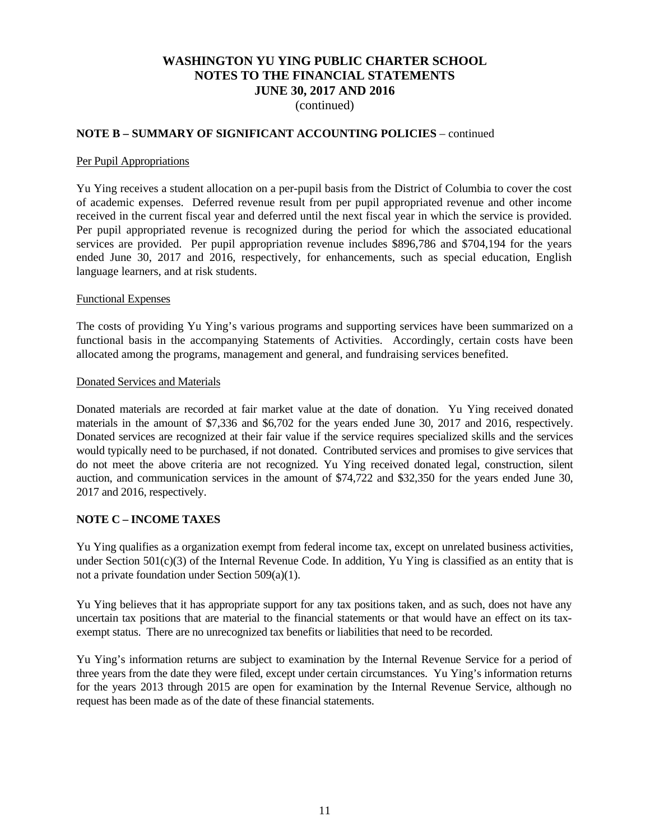(continued)

### **NOTE B – SUMMARY OF SIGNIFICANT ACCOUNTING POLICIES** – continued

#### Per Pupil Appropriations

Yu Ying receives a student allocation on a per-pupil basis from the District of Columbia to cover the cost of academic expenses. Deferred revenue result from per pupil appropriated revenue and other income received in the current fiscal year and deferred until the next fiscal year in which the service is provided. Per pupil appropriated revenue is recognized during the period for which the associated educational services are provided. Per pupil appropriation revenue includes \$896,786 and \$704,194 for the years ended June 30, 2017 and 2016, respectively, for enhancements, such as special education, English language learners, and at risk students.

### Functional Expenses

The costs of providing Yu Ying's various programs and supporting services have been summarized on a functional basis in the accompanying Statements of Activities. Accordingly, certain costs have been allocated among the programs, management and general, and fundraising services benefited.

### Donated Services and Materials

Donated materials are recorded at fair market value at the date of donation. Yu Ying received donated materials in the amount of \$7,336 and \$6,702 for the years ended June 30, 2017 and 2016, respectively. Donated services are recognized at their fair value if the service requires specialized skills and the services would typically need to be purchased, if not donated. Contributed services and promises to give services that do not meet the above criteria are not recognized. Yu Ying received donated legal, construction, silent auction, and communication services in the amount of \$74,722 and \$32,350 for the years ended June 30, 2017 and 2016, respectively.

## **NOTE C – INCOME TAXES**

Yu Ying qualifies as a organization exempt from federal income tax, except on unrelated business activities, under Section 501(c)(3) of the Internal Revenue Code. In addition, Yu Ying is classified as an entity that is not a private foundation under Section 509(a)(1).

Yu Ying believes that it has appropriate support for any tax positions taken, and as such, does not have any uncertain tax positions that are material to the financial statements or that would have an effect on its taxexempt status. There are no unrecognized tax benefits or liabilities that need to be recorded.

Yu Ying's information returns are subject to examination by the Internal Revenue Service for a period of three years from the date they were filed, except under certain circumstances. Yu Ying's information returns for the years 2013 through 2015 are open for examination by the Internal Revenue Service, although no request has been made as of the date of these financial statements.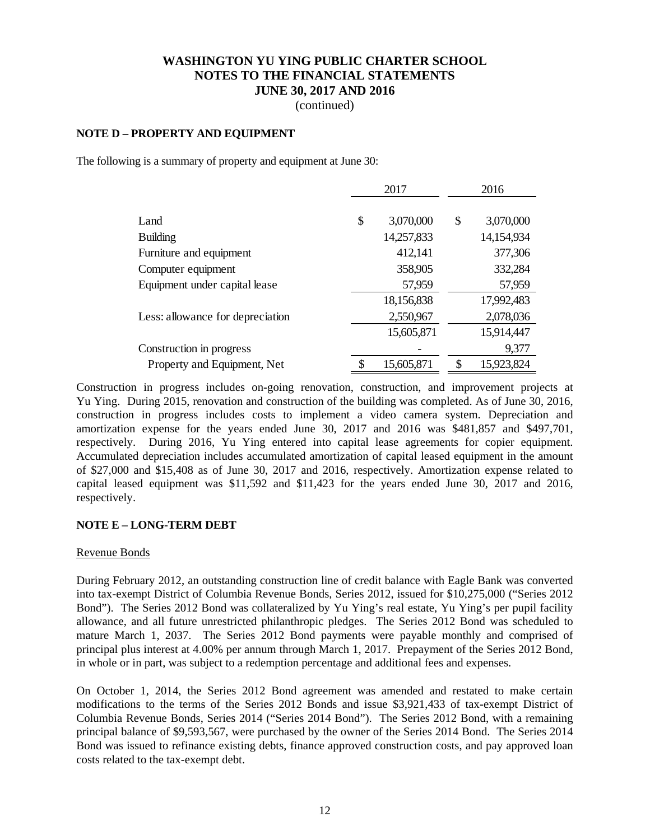(continued)

### **NOTE D – PROPERTY AND EQUIPMENT**

The following is a summary of property and equipment at June 30:

|                                  | 2017             |    | 2016       |
|----------------------------------|------------------|----|------------|
|                                  |                  |    |            |
| Land                             | \$<br>3,070,000  | \$ | 3,070,000  |
| <b>Building</b>                  | 14,257,833       |    | 14,154,934 |
| Furniture and equipment          | 412,141          |    | 377,306    |
| Computer equipment               | 358,905          |    | 332,284    |
| Equipment under capital lease    | 57,959           |    | 57,959     |
|                                  | 18,156,838       |    | 17,992,483 |
| Less: allowance for depreciation | 2,550,967        |    | 2,078,036  |
|                                  | 15,605,871       |    | 15,914,447 |
| Construction in progress         |                  |    | 9,377      |
| Property and Equipment, Net      | \$<br>15,605,871 | \$ | 15,923,824 |

Construction in progress includes on-going renovation, construction, and improvement projects at Yu Ying. During 2015, renovation and construction of the building was completed. As of June 30, 2016, construction in progress includes costs to implement a video camera system. Depreciation and amortization expense for the years ended June 30, 2017 and 2016 was \$481,857 and \$497,701, respectively. During 2016, Yu Ying entered into capital lease agreements for copier equipment. Accumulated depreciation includes accumulated amortization of capital leased equipment in the amount of \$27,000 and \$15,408 as of June 30, 2017 and 2016, respectively. Amortization expense related to capital leased equipment was \$11,592 and \$11,423 for the years ended June 30, 2017 and 2016, respectively.

## **NOTE E – LONG-TERM DEBT**

#### Revenue Bonds

During February 2012, an outstanding construction line of credit balance with Eagle Bank was converted into tax-exempt District of Columbia Revenue Bonds, Series 2012, issued for \$10,275,000 ("Series 2012 Bond"). The Series 2012 Bond was collateralized by Yu Ying's real estate, Yu Ying's per pupil facility allowance, and all future unrestricted philanthropic pledges. The Series 2012 Bond was scheduled to mature March 1, 2037. The Series 2012 Bond payments were payable monthly and comprised of principal plus interest at 4.00% per annum through March 1, 2017. Prepayment of the Series 2012 Bond, in whole or in part, was subject to a redemption percentage and additional fees and expenses.

On October 1, 2014, the Series 2012 Bond agreement was amended and restated to make certain modifications to the terms of the Series 2012 Bonds and issue \$3,921,433 of tax-exempt District of Columbia Revenue Bonds, Series 2014 ("Series 2014 Bond"). The Series 2012 Bond, with a remaining principal balance of \$9,593,567, were purchased by the owner of the Series 2014 Bond. The Series 2014 Bond was issued to refinance existing debts, finance approved construction costs, and pay approved loan costs related to the tax-exempt debt.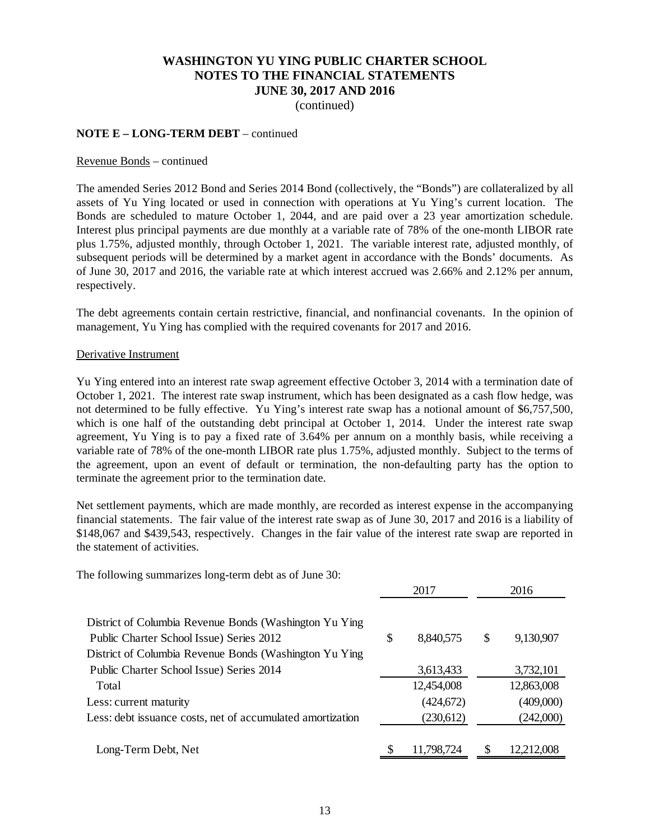(continued)

### **NOTE E – LONG-TERM DEBT** – continued

#### Revenue Bonds – continued

The amended Series 2012 Bond and Series 2014 Bond (collectively, the "Bonds") are collateralized by all assets of Yu Ying located or used in connection with operations at Yu Ying's current location. The Bonds are scheduled to mature October 1, 2044, and are paid over a 23 year amortization schedule. Interest plus principal payments are due monthly at a variable rate of 78% of the one-month LIBOR rate plus 1.75%, adjusted monthly, through October 1, 2021. The variable interest rate, adjusted monthly, of subsequent periods will be determined by a market agent in accordance with the Bonds' documents. As of June 30, 2017 and 2016, the variable rate at which interest accrued was 2.66% and 2.12% per annum, respectively.

The debt agreements contain certain restrictive, financial, and nonfinancial covenants. In the opinion of management, Yu Ying has complied with the required covenants for 2017 and 2016.

#### Derivative Instrument

Yu Ying entered into an interest rate swap agreement effective October 3, 2014 with a termination date of October 1, 2021. The interest rate swap instrument, which has been designated as a cash flow hedge, was not determined to be fully effective. Yu Ying's interest rate swap has a notional amount of \$6,757,500, which is one half of the outstanding debt principal at October 1, 2014. Under the interest rate swap agreement, Yu Ying is to pay a fixed rate of 3.64% per annum on a monthly basis, while receiving a variable rate of 78% of the one-month LIBOR rate plus 1.75%, adjusted monthly. Subject to the terms of the agreement, upon an event of default or termination, the non-defaulting party has the option to terminate the agreement prior to the termination date.

Net settlement payments, which are made monthly, are recorded as interest expense in the accompanying financial statements. The fair value of the interest rate swap as of June 30, 2017 and 2016 is a liability of \$148,067 and \$439,543, respectively. Changes in the fair value of the interest rate swap are reported in the statement of activities.

The following summarizes long-term debt as of June 30:

|                                                                                                    | 2017             |    | 2016       |
|----------------------------------------------------------------------------------------------------|------------------|----|------------|
| District of Columbia Revenue Bonds (Washington Yu Ying<br>Public Charter School Issue) Series 2012 | \$<br>8,840,575  | \$ | 9,130,907  |
| District of Columbia Revenue Bonds (Washington Yu Ying<br>Public Charter School Issue) Series 2014 | 3,613,433        |    | 3,732,101  |
| Total                                                                                              | 12,454,008       |    | 12,863,008 |
| Less: current maturity                                                                             | (424, 672)       |    | (409,000)  |
| Less: debt issuance costs, net of accumulated amortization                                         | (230,612)        |    | (242,000)  |
| Long-Term Debt, Net                                                                                | \$<br>11,798,724 | S  | 12,212,008 |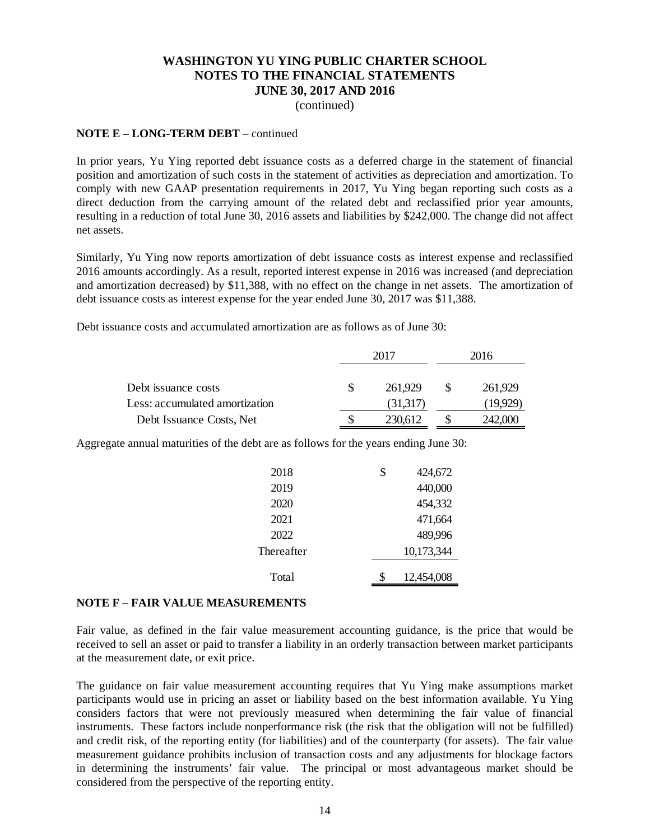(continued)

### **NOTE E – LONG-TERM DEBT** – continued

In prior years, Yu Ying reported debt issuance costs as a deferred charge in the statement of financial position and amortization of such costs in the statement of activities as depreciation and amortization. To comply with new GAAP presentation requirements in 2017, Yu Ying began reporting such costs as a direct deduction from the carrying amount of the related debt and reclassified prior year amounts, resulting in a reduction of total June 30, 2016 assets and liabilities by \$242,000. The change did not affect net assets.

Similarly, Yu Ying now reports amortization of debt issuance costs as interest expense and reclassified 2016 amounts accordingly. As a result, reported interest expense in 2016 was increased (and depreciation and amortization decreased) by \$11,388, with no effect on the change in net assets. The amortization of debt issuance costs as interest expense for the year ended June 30, 2017 was \$11,388.

Debt issuance costs and accumulated amortization are as follows as of June 30:

|                                | 2017     |  | 2016     |
|--------------------------------|----------|--|----------|
|                                |          |  |          |
| Debt issuance costs            | 261.929  |  | 261,929  |
| Less: accumulated amortization | (31,317) |  | (19.929) |
| Debt Issuance Costs, Net       | 230,612  |  | 242,000  |

Aggregate annual maturities of the debt are as follows for the years ending June 30:

| 2018       | \$ | 424,672    |
|------------|----|------------|
| 2019       |    | 440,000    |
| 2020       |    | 454,332    |
| 2021       |    | 471,664    |
| 2022       |    | 489,996    |
| Thereafter |    | 10,173,344 |
| Total      | S  | 12,454,008 |

## **NOTE F – FAIR VALUE MEASUREMENTS**

Fair value, as defined in the fair value measurement accounting guidance, is the price that would be received to sell an asset or paid to transfer a liability in an orderly transaction between market participants at the measurement date, or exit price.

The guidance on fair value measurement accounting requires that Yu Ying make assumptions market participants would use in pricing an asset or liability based on the best information available. Yu Ying considers factors that were not previously measured when determining the fair value of financial instruments. These factors include nonperformance risk (the risk that the obligation will not be fulfilled) and credit risk, of the reporting entity (for liabilities) and of the counterparty (for assets). The fair value measurement guidance prohibits inclusion of transaction costs and any adjustments for blockage factors in determining the instruments' fair value. The principal or most advantageous market should be considered from the perspective of the reporting entity.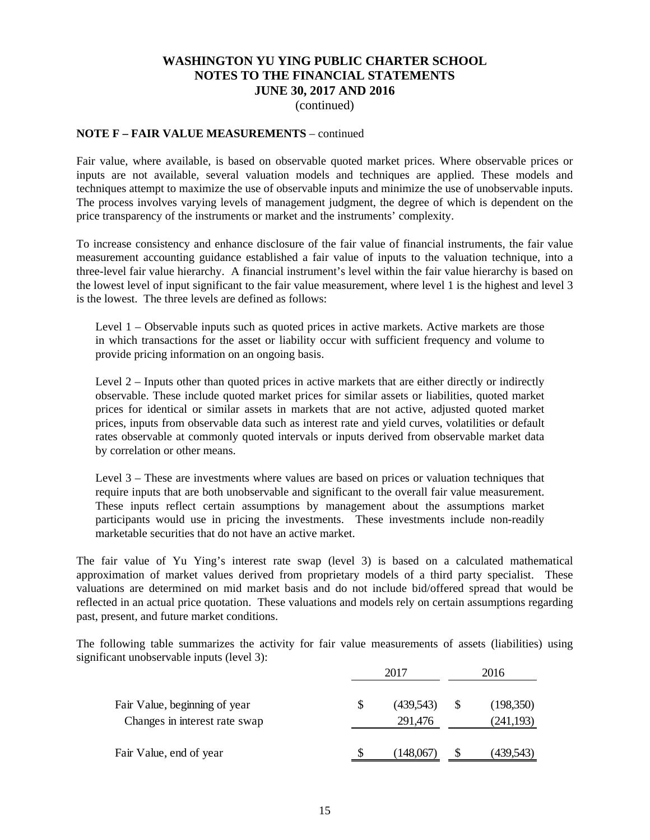(continued)

### **NOTE F – FAIR VALUE MEASUREMENTS** – continued

Fair value, where available, is based on observable quoted market prices. Where observable prices or inputs are not available, several valuation models and techniques are applied. These models and techniques attempt to maximize the use of observable inputs and minimize the use of unobservable inputs. The process involves varying levels of management judgment, the degree of which is dependent on the price transparency of the instruments or market and the instruments' complexity.

To increase consistency and enhance disclosure of the fair value of financial instruments, the fair value measurement accounting guidance established a fair value of inputs to the valuation technique, into a three-level fair value hierarchy. A financial instrument's level within the fair value hierarchy is based on the lowest level of input significant to the fair value measurement, where level 1 is the highest and level 3 is the lowest. The three levels are defined as follows:

Level 1 – Observable inputs such as quoted prices in active markets. Active markets are those in which transactions for the asset or liability occur with sufficient frequency and volume to provide pricing information on an ongoing basis.

Level 2 – Inputs other than quoted prices in active markets that are either directly or indirectly observable. These include quoted market prices for similar assets or liabilities, quoted market prices for identical or similar assets in markets that are not active, adjusted quoted market prices, inputs from observable data such as interest rate and yield curves, volatilities or default rates observable at commonly quoted intervals or inputs derived from observable market data by correlation or other means.

Level 3 – These are investments where values are based on prices or valuation techniques that require inputs that are both unobservable and significant to the overall fair value measurement. These inputs reflect certain assumptions by management about the assumptions market participants would use in pricing the investments. These investments include non-readily marketable securities that do not have an active market.

The fair value of Yu Ying's interest rate swap (level 3) is based on a calculated mathematical approximation of market values derived from proprietary models of a third party specialist. These valuations are determined on mid market basis and do not include bid/offered spread that would be reflected in an actual price quotation. These valuations and models rely on certain assumptions regarding past, present, and future market conditions.

The following table summarizes the activity for fair value measurements of assets (liabilities) using significant unobservable inputs (level 3):

|                                                                | 2017 |                      | 2016 |                         |
|----------------------------------------------------------------|------|----------------------|------|-------------------------|
| Fair Value, beginning of year<br>Changes in interest rate swap | \$.  | (439,543)<br>291,476 |      | (198,350)<br>(241, 193) |
| Fair Value, end of year                                        |      | (148,067)            |      | (439,543)               |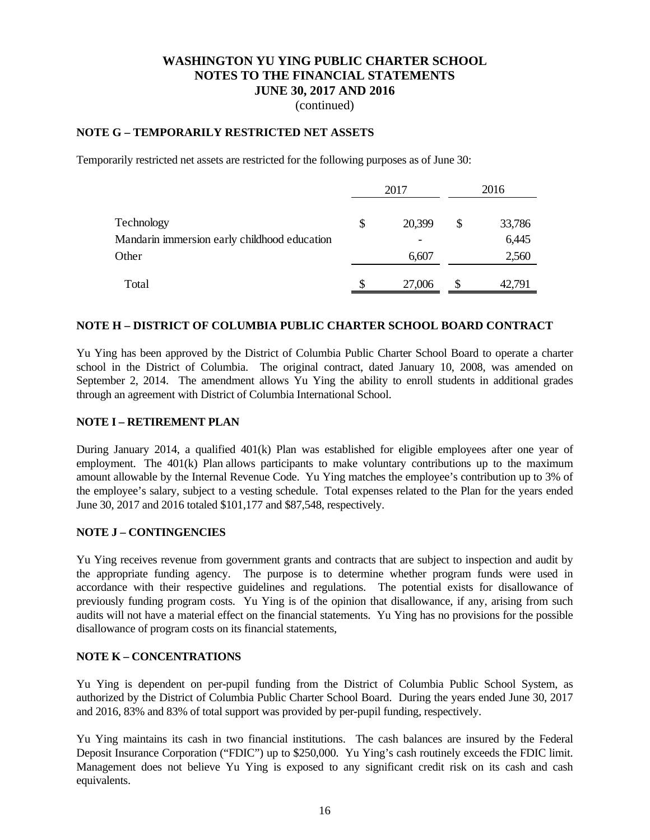(continued)

## **NOTE G – TEMPORARILY RESTRICTED NET ASSETS**

Temporarily restricted net assets are restricted for the following purposes as of June 30:

|                                              | 2017 |        | 2016 |        |
|----------------------------------------------|------|--------|------|--------|
| Technology                                   | \$   | 20,399 |      | 33,786 |
| Mandarin immersion early childhood education |      |        |      | 6,445  |
| Other                                        |      | 6,607  |      | 2,560  |
| Total                                        |      | 27,006 |      | 42,791 |

### **NOTE H – DISTRICT OF COLUMBIA PUBLIC CHARTER SCHOOL BOARD CONTRACT**

Yu Ying has been approved by the District of Columbia Public Charter School Board to operate a charter school in the District of Columbia. The original contract, dated January 10, 2008, was amended on September 2, 2014. The amendment allows Yu Ying the ability to enroll students in additional grades through an agreement with District of Columbia International School.

#### **NOTE I – RETIREMENT PLAN**

During January 2014, a qualified 401(k) Plan was established for eligible employees after one year of employment. The 401(k) Plan allows participants to make voluntary contributions up to the maximum amount allowable by the Internal Revenue Code. Yu Ying matches the employee's contribution up to 3% of the employee's salary, subject to a vesting schedule. Total expenses related to the Plan for the years ended June 30, 2017 and 2016 totaled \$101,177 and \$87,548, respectively.

### **NOTE J – CONTINGENCIES**

Yu Ying receives revenue from government grants and contracts that are subject to inspection and audit by the appropriate funding agency. The purpose is to determine whether program funds were used in accordance with their respective guidelines and regulations. The potential exists for disallowance of previously funding program costs. Yu Ying is of the opinion that disallowance, if any, arising from such audits will not have a material effect on the financial statements. Yu Ying has no provisions for the possible disallowance of program costs on its financial statements,

## **NOTE K – CONCENTRATIONS**

Yu Ying is dependent on per-pupil funding from the District of Columbia Public School System, as authorized by the District of Columbia Public Charter School Board. During the years ended June 30, 2017 and 2016, 83% and 83% of total support was provided by per-pupil funding, respectively.

Yu Ying maintains its cash in two financial institutions. The cash balances are insured by the Federal Deposit Insurance Corporation ("FDIC") up to \$250,000. Yu Ying's cash routinely exceeds the FDIC limit. Management does not believe Yu Ying is exposed to any significant credit risk on its cash and cash equivalents.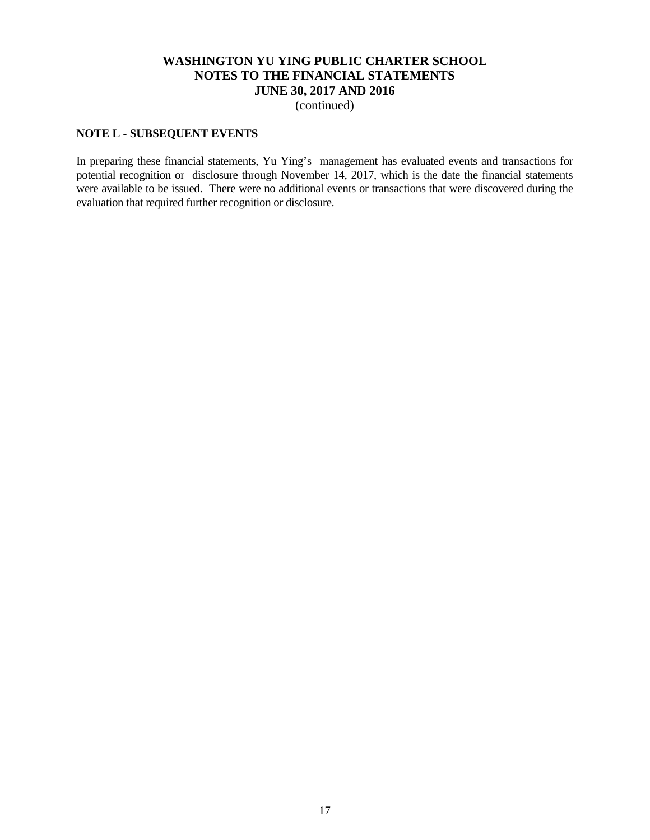(continued)

### **NOTE L - SUBSEQUENT EVENTS**

In preparing these financial statements, Yu Ying's management has evaluated events and transactions for potential recognition or disclosure through November 14, 2017, which is the date the financial statements were available to be issued. There were no additional events or transactions that were discovered during the evaluation that required further recognition or disclosure.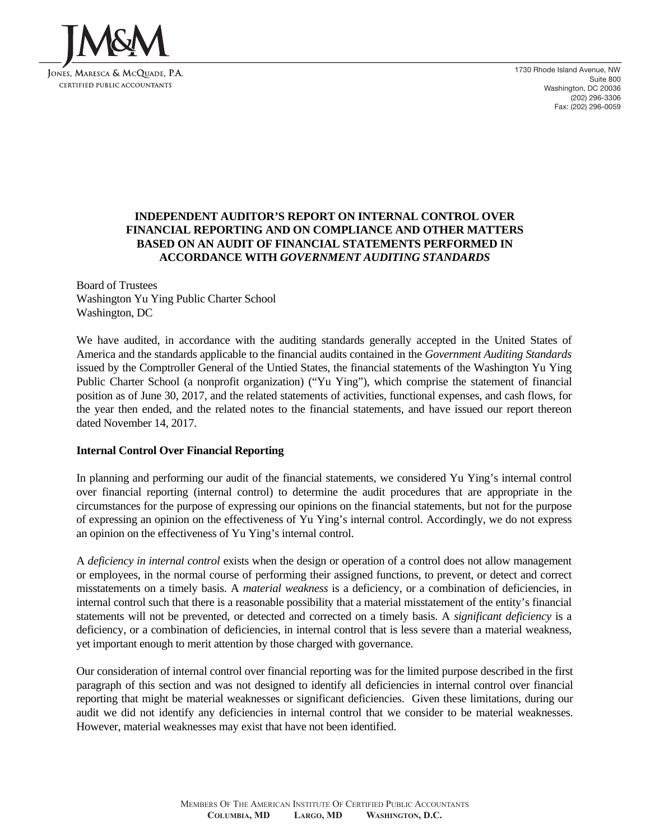

1730 Rhode Island Avenue, NW Suite 800 Washington, DC 20036 (202) 296-3306 Fax: (202) 296-0059

# **INDEPENDENT AUDITOR'S REPORT ON INTERNAL CONTROL OVER FINANCIAL REPORTING AND ON COMPLIANCE AND OTHER MATTERS BASED ON AN AUDIT OF FINANCIAL STATEMENTS PERFORMED IN ACCORDANCE WITH** *GOVERNMENT AUDITING STANDARDS*

Board of Trustees Washington Yu Ying Public Charter School Washington, DC

We have audited, in accordance with the auditing standards generally accepted in the United States of America and the standards applicable to the financial audits contained in the *Government Auditing Standards* issued by the Comptroller General of the Untied States, the financial statements of the Washington Yu Ying Public Charter School (a nonprofit organization) ("Yu Ying"), which comprise the statement of financial position as of June 30, 2017, and the related statements of activities, functional expenses, and cash flows, for the year then ended, and the related notes to the financial statements, and have issued our report thereon dated November 14, 2017.

#### **Internal Control Over Financial Reporting**

In planning and performing our audit of the financial statements, we considered Yu Ying's internal control over financial reporting (internal control) to determine the audit procedures that are appropriate in the circumstances for the purpose of expressing our opinions on the financial statements, but not for the purpose of expressing an opinion on the effectiveness of Yu Ying's internal control. Accordingly, we do not express an opinion on the effectiveness of Yu Ying's internal control.

A *deficiency in internal control* exists when the design or operation of a control does not allow management or employees, in the normal course of performing their assigned functions, to prevent, or detect and correct misstatements on a timely basis. A *material weakness* is a deficiency, or a combination of deficiencies, in internal control such that there is a reasonable possibility that a material misstatement of the entity's financial statements will not be prevented, or detected and corrected on a timely basis. A *significant deficiency* is a deficiency, or a combination of deficiencies, in internal control that is less severe than a material weakness, yet important enough to merit attention by those charged with governance.

Our consideration of internal control over financial reporting was for the limited purpose described in the first paragraph of this section and was not designed to identify all deficiencies in internal control over financial reporting that might be material weaknesses or significant deficiencies. Given these limitations, during our audit we did not identify any deficiencies in internal control that we consider to be material weaknesses. However, material weaknesses may exist that have not been identified.